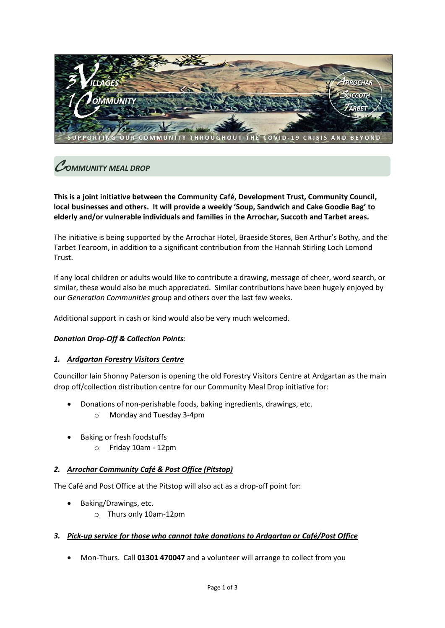

# C*OMMUNITY MEAL DROP*

**This is a joint initiative between the Community Café, Development Trust, Community Council, local businesses and others. It will provide a weekly 'Soup, Sandwich and Cake Goodie Bag' to elderly and/or vulnerable individuals and families in the Arrochar, Succoth and Tarbet areas.** 

The initiative is being supported by the Arrochar Hotel, Braeside Stores, Ben Arthur's Bothy, and the Tarbet Tearoom, in addition to a significant contribution from the Hannah Stirling Loch Lomond Trust.

If any local children or adults would like to contribute a drawing, message of cheer, word search, or similar, these would also be much appreciated. Similar contributions have been hugely enjoyed by our *Generation Communities* group and others over the last few weeks.

Additional support in cash or kind would also be very much welcomed.

#### *Donation Drop-Off & Collection Points*:

#### *1. Ardgartan Forestry Visitors Centre*

Councillor Iain Shonny Paterson is opening the old Forestry Visitors Centre at Ardgartan as the main drop off/collection distribution centre for our Community Meal Drop initiative for:

- Donations of non-perishable foods, baking ingredients, drawings, etc.
	- o Monday and Tuesday 3-4pm
- Baking or fresh foodstuffs
	- o Friday 10am 12pm

#### *2. Arrochar Community Café & Post Office (Pitstop)*

The Café and Post Office at the Pitstop will also act as a drop-off point for:

- Baking/Drawings, etc.
	- o Thurs only 10am-12pm

#### *3. Pick-up service for those who cannot take donations to Ardgartan or Café/Post Office*

• Mon-Thurs. Call **01301 470047** and a volunteer will arrange to collect from you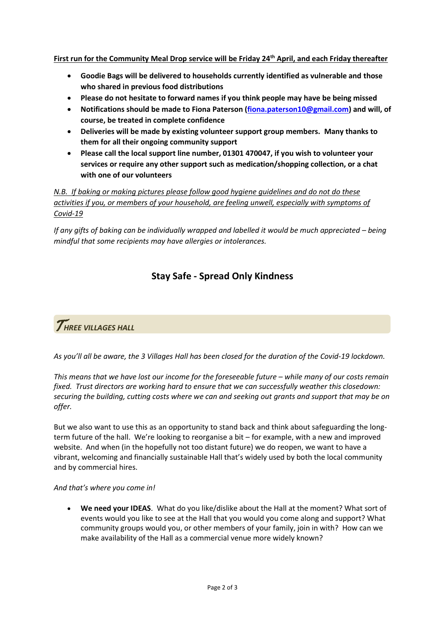**First run for the Community Meal Drop service will be Friday 24th April, and each Friday thereafter**

- **Goodie Bags will be delivered to households currently identified as vulnerable and those who shared in previous food distributions**
- **Please do not hesitate to forward names if you think people may have be being missed**
- **Notifications should be made to Fiona Paterson [\(fiona.paterson10@gmail.com\)](mailto:fiona.paterson10@gmail.com) and will, of course, be treated in complete confidence**
- **Deliveries will be made by existing volunteer support group members. Many thanks to them for all their ongoing community support**
- **Please call the local support line number, 01301 470047, if you wish to volunteer your services or require any other support such as medication/shopping collection, or a chat with one of our volunteers**

*N.B. If baking or making pictures please follow good hygiene guidelines and do not do these activities if you, or members of your household, are feeling unwell, especially with symptoms of Covid-19*

*If any gifts of baking can be individually wrapped and labelled it would be much appreciated – being mindful that some recipients may have allergies or intolerances.*

### **Stay Safe - Spread Only Kindness**

### T*HREE VILLAGES HALL*

*As you'll all be aware, the 3 Villages Hall has been closed for the duration of the Covid-19 lockdown.*

*This means that we have lost our income for the foreseeable future – while many of our costs remain fixed. Trust directors are working hard to ensure that we can successfully weather this closedown: securing the building, cutting costs where we can and seeking out grants and support that may be on offer.* 

But we also want to use this as an opportunity to stand back and think about safeguarding the longterm future of the hall. We're looking to reorganise a bit – for example, with a new and improved website. And when (in the hopefully not too distant future) we do reopen, we want to have a vibrant, welcoming and financially sustainable Hall that's widely used by both the local community and by commercial hires.

#### *And that's where you come in!*

• **We need your IDEAS**. What do you like/dislike about the Hall at the moment? What sort of events would you like to see at the Hall that you would you come along and support? What community groups would you, or other members of your family, join in with? How can we make availability of the Hall as a commercial venue more widely known?